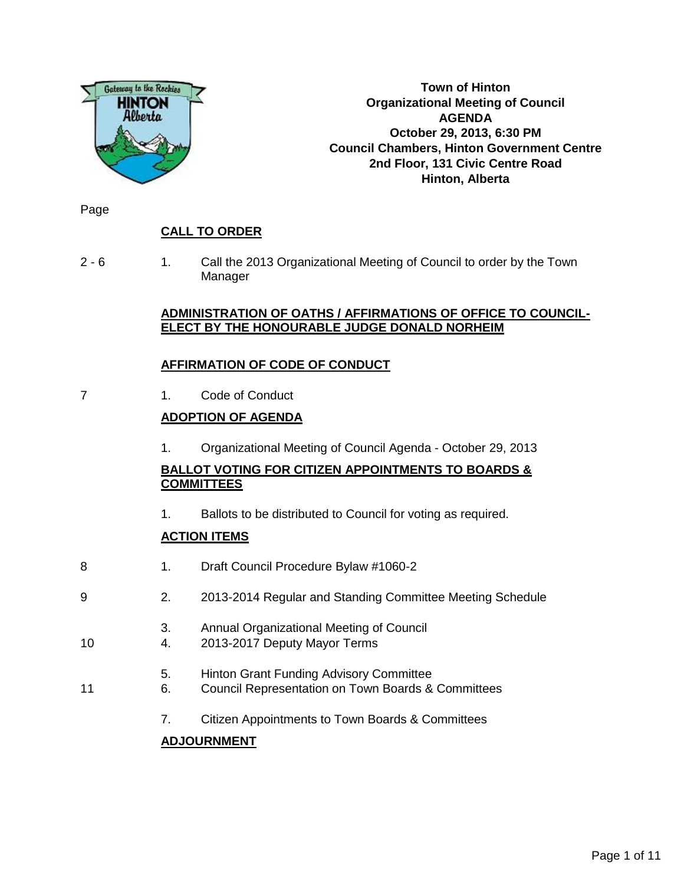

**Town of Hinton Organizational Meeting of Council AGENDA October 29, 2013, 6:30 PM Council Chambers, Hinton Government Centre 2nd Floor, 131 Civic Centre Road Hinton, Alberta**

Page

# **CALL TO ORDER**

2 - 6 1. Call the 2013 Organizational Meeting of Council to order by the Town Manager

## **ADMINISTRATION OF OATHS / AFFIRMATIONS OF OFFICE TO COUNCIL-ELECT BY THE HONOURABLE JUDGE DONALD NORHEIM**

# **AFFIRMATION OF CODE OF CONDUCT**

7 1. Code of Conduct

# **ADOPTION OF AGENDA**

1. Organizational Meeting of Council Agenda - October 29, 2013

# **BALLOT VOTING FOR CITIZEN APPOINTMENTS TO BOARDS & COMMITTEES**

1. Ballots to be distributed to Council for voting as required.

# **ACTION ITEMS**

- 8 1. Draft Council Procedure Bylaw #1060-2
- 9 2. 2013-2014 Regular and Standing Committee Meeting Schedule
	- 3. Annual Organizational Meeting of Council
- 10 4. 2013-2017 Deputy Mayor Terms
	- 5. Hinton Grant Funding Advisory Committee
- 11 6. Council Representation on Town Boards & Committees
	- 7. Citizen Appointments to Town Boards & Committees

# **ADJOURNMENT**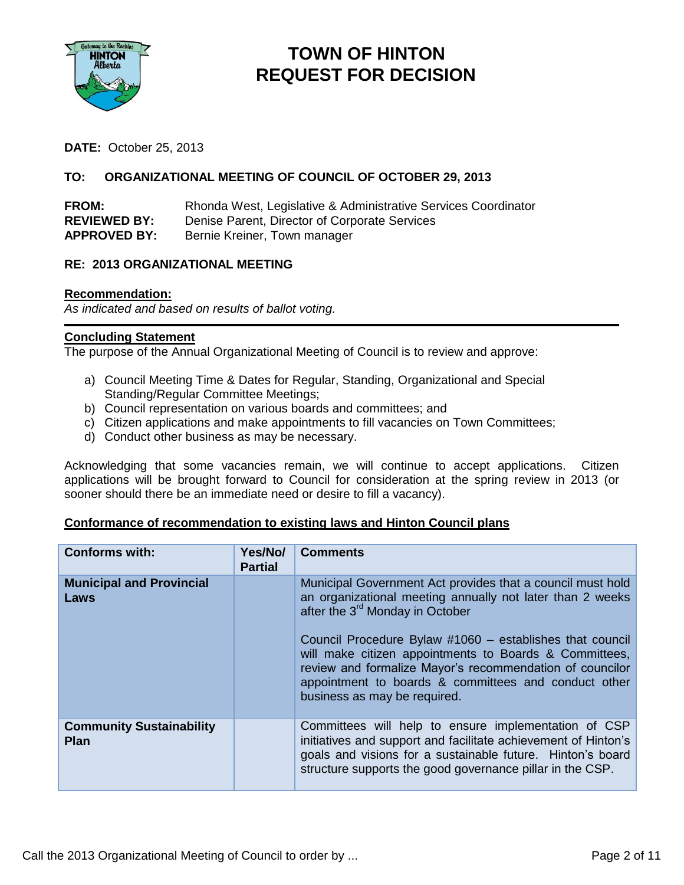

# **TOWN OF HINTON REQUEST FOR DECISION**

**DATE:** October 25, 2013

## **TO: ORGANIZATIONAL MEETING OF COUNCIL OF OCTOBER 29, 2013**

| <b>FROM:</b>        | Rhonda West, Legislative & Administrative Services Coordinator |
|---------------------|----------------------------------------------------------------|
| <b>REVIEWED BY:</b> | Denise Parent, Director of Corporate Services                  |
| <b>APPROVED BY:</b> | Bernie Kreiner, Town manager                                   |

# **RE: 2013 ORGANIZATIONAL MEETING**

#### **Recommendation:**

*As indicated and based on results of ballot voting.*

#### **Concluding Statement**

The purpose of the Annual Organizational Meeting of Council is to review and approve:

- a) Council Meeting Time & Dates for Regular, Standing, Organizational and Special Standing/Regular Committee Meetings;
- b) Council representation on various boards and committees; and
- c) Citizen applications and make appointments to fill vacancies on Town Committees;
- d) Conduct other business as may be necessary.

Acknowledging that some vacancies remain, we will continue to accept applications. Citizen applications will be brought forward to Council for consideration at the spring review in 2013 (or sooner should there be an immediate need or desire to fill a vacancy).

### **Conformance of recommendation to existing laws and Hinton Council plans**

| <b>Conforms with:</b>                          | Yes/No/<br><b>Partial</b> | <b>Comments</b>                                                                                                                                                                                                                                                                                                                                                                                                                                  |
|------------------------------------------------|---------------------------|--------------------------------------------------------------------------------------------------------------------------------------------------------------------------------------------------------------------------------------------------------------------------------------------------------------------------------------------------------------------------------------------------------------------------------------------------|
| <b>Municipal and Provincial</b><br>Laws        |                           | Municipal Government Act provides that a council must hold<br>an organizational meeting annually not later than 2 weeks<br>after the 3 <sup>rd</sup> Monday in October<br>Council Procedure Bylaw #1060 – establishes that council<br>will make citizen appointments to Boards & Committees,<br>review and formalize Mayor's recommendation of councilor<br>appointment to boards & committees and conduct other<br>business as may be required. |
| <b>Community Sustainability</b><br><b>Plan</b> |                           | Committees will help to ensure implementation of CSP<br>initiatives and support and facilitate achievement of Hinton's<br>goals and visions for a sustainable future. Hinton's board<br>structure supports the good governance pillar in the CSP.                                                                                                                                                                                                |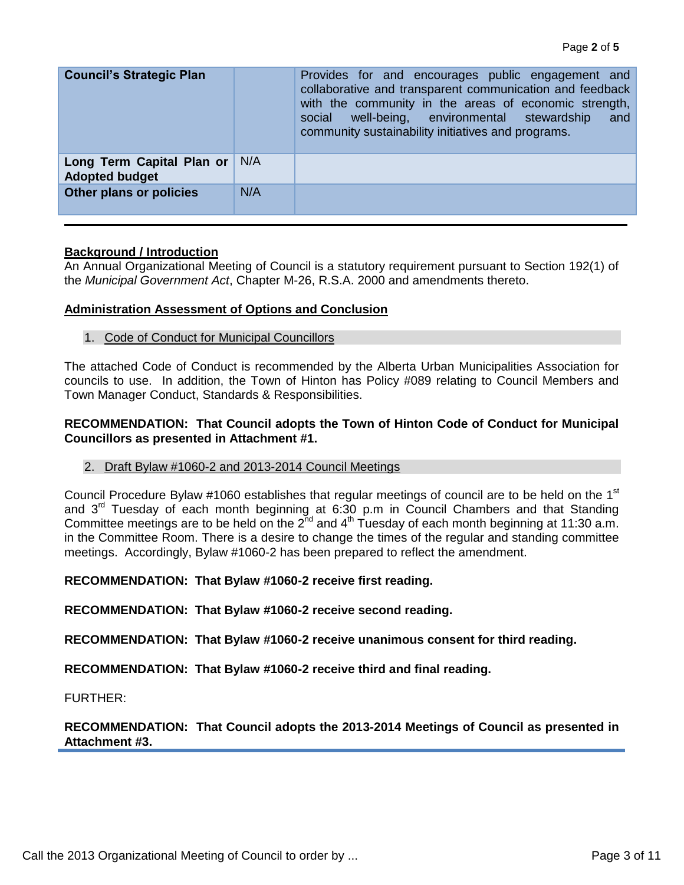| <b>Council's Strategic Plan</b>                    |     | Provides for and encourages public engagement and<br>collaborative and transparent communication and feedback<br>with the community in the areas of economic strength,<br>well-being, environmental stewardship<br>social<br>and<br>community sustainability initiatives and programs. |
|----------------------------------------------------|-----|----------------------------------------------------------------------------------------------------------------------------------------------------------------------------------------------------------------------------------------------------------------------------------------|
| Long Term Capital Plan or<br><b>Adopted budget</b> | N/A |                                                                                                                                                                                                                                                                                        |
| Other plans or policies                            | N/A |                                                                                                                                                                                                                                                                                        |

#### **Background / Introduction**

An Annual Organizational Meeting of Council is a statutory requirement pursuant to Section 192(1) of the *Municipal Government Act*, Chapter M-26, R.S.A. 2000 and amendments thereto.

#### **Administration Assessment of Options and Conclusion**

1. Code of Conduct for Municipal Councillors

The attached Code of Conduct is recommended by the Alberta Urban Municipalities Association for councils to use. In addition, the Town of Hinton has Policy #089 relating to Council Members and Town Manager Conduct, Standards & Responsibilities.

#### **RECOMMENDATION: That Council adopts the Town of Hinton Code of Conduct for Municipal Councillors as presented in Attachment #1.**

2. Draft Bylaw #1060-2 and 2013-2014 Council Meetings

Council Procedure Bylaw #1060 establishes that regular meetings of council are to be held on the 1<sup>st</sup> and 3<sup>rd</sup> Tuesday of each month beginning at 6:30 p.m in Council Chambers and that Standing Committee meetings are to be held on the 2<sup>nd</sup> and 4<sup>th</sup> Tuesday of each month beginning at 11:30 a.m. in the Committee Room. There is a desire to change the times of the regular and standing committee meetings. Accordingly, Bylaw #1060-2 has been prepared to reflect the amendment.

#### **RECOMMENDATION: That Bylaw #1060-2 receive first reading.**

**RECOMMENDATION: That Bylaw #1060-2 receive second reading.**

**RECOMMENDATION: That Bylaw #1060-2 receive unanimous consent for third reading.**

**RECOMMENDATION: That Bylaw #1060-2 receive third and final reading.**

FURTHER:

**RECOMMENDATION: That Council adopts the 2013-2014 Meetings of Council as presented in Attachment #3.**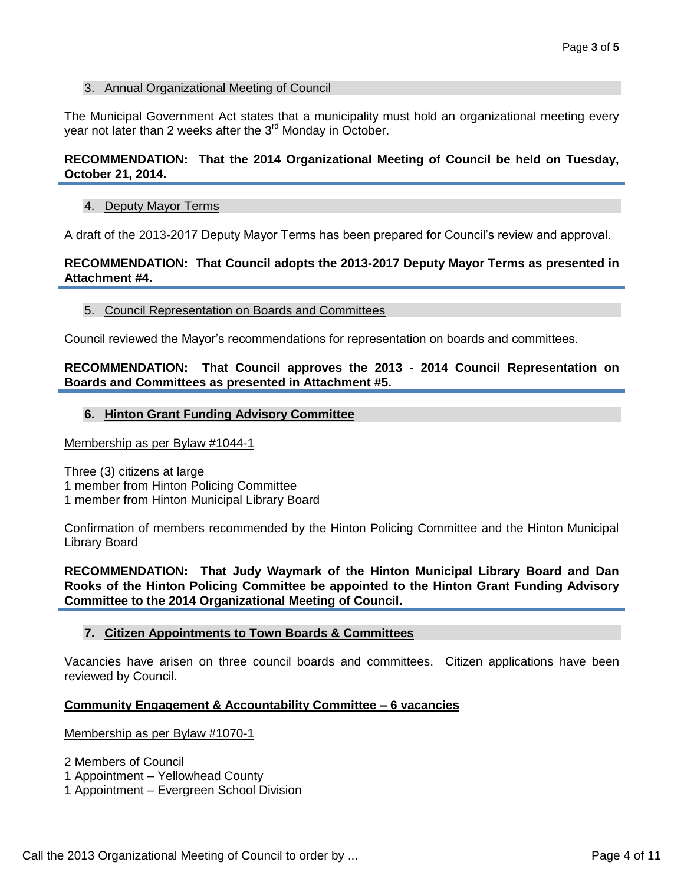#### 3. Annual Organizational Meeting of Council

The Municipal Government Act states that a municipality must hold an organizational meeting every year not later than 2 weeks after the 3<sup>rd</sup> Monday in October.

#### **RECOMMENDATION: That the 2014 Organizational Meeting of Council be held on Tuesday, October 21, 2014.**

#### 4. Deputy Mayor Terms

A draft of the 2013-2017 Deputy Mayor Terms has been prepared for Council's review and approval.

#### **RECOMMENDATION: That Council adopts the 2013-2017 Deputy Mayor Terms as presented in Attachment #4.**

#### 5. Council Representation on Boards and Committees

Council reviewed the Mayor's recommendations for representation on boards and committees.

#### **RECOMMENDATION: That Council approves the 2013 - 2014 Council Representation on Boards and Committees as presented in Attachment #5.**

#### **6. Hinton Grant Funding Advisory Committee**

Membership as per Bylaw #1044-1

Three (3) citizens at large 1 member from Hinton Policing Committee 1 member from Hinton Municipal Library Board

Confirmation of members recommended by the Hinton Policing Committee and the Hinton Municipal Library Board

**RECOMMENDATION: That Judy Waymark of the Hinton Municipal Library Board and Dan Rooks of the Hinton Policing Committee be appointed to the Hinton Grant Funding Advisory Committee to the 2014 Organizational Meeting of Council.**

#### **7. Citizen Appointments to Town Boards & Committees**

Vacancies have arisen on three council boards and committees. Citizen applications have been reviewed by Council.

#### **Community Engagement & Accountability Committee – 6 vacancies**

Membership as per Bylaw #1070-1

2 Members of Council

- 1 Appointment Yellowhead County
- 1 Appointment Evergreen School Division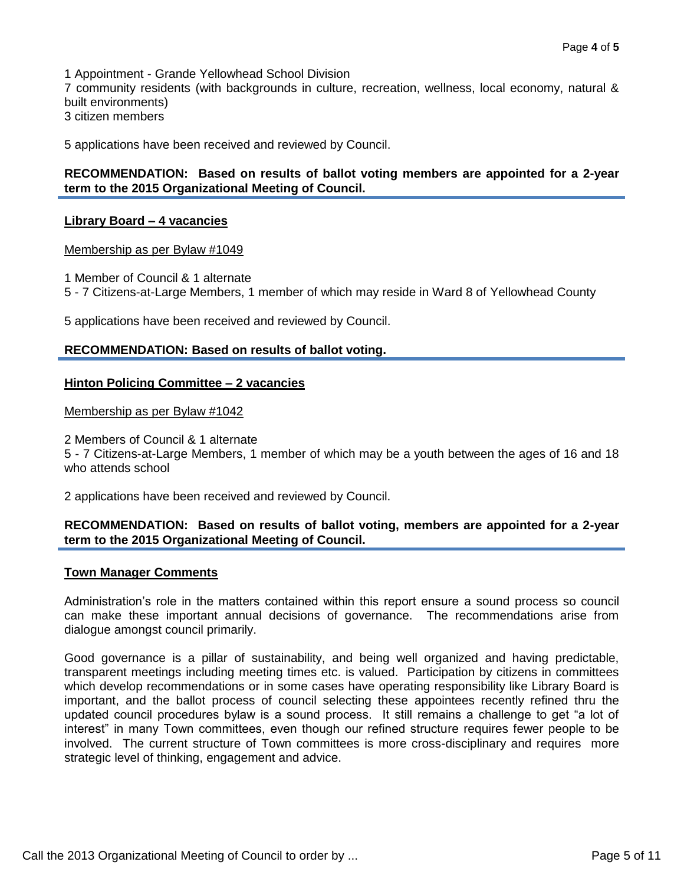1 Appointment - Grande Yellowhead School Division

7 community residents (with backgrounds in culture, recreation, wellness, local economy, natural & built environments)

3 citizen members

5 applications have been received and reviewed by Council.

#### **RECOMMENDATION: Based on results of ballot voting members are appointed for a 2-year term to the 2015 Organizational Meeting of Council.**

#### **Library Board – 4 vacancies**

Membership as per Bylaw #1049

1 Member of Council & 1 alternate

5 - 7 Citizens-at-Large Members, 1 member of which may reside in Ward 8 of Yellowhead County

5 applications have been received and reviewed by Council.

#### **RECOMMENDATION: Based on results of ballot voting.**

#### **Hinton Policing Committee – 2 vacancies**

Membership as per Bylaw #1042

2 Members of Council & 1 alternate

5 - 7 Citizens-at-Large Members, 1 member of which may be a youth between the ages of 16 and 18 who attends school

2 applications have been received and reviewed by Council.

#### **RECOMMENDATION: Based on results of ballot voting, members are appointed for a 2-year term to the 2015 Organizational Meeting of Council.**

#### **Town Manager Comments**

Administration's role in the matters contained within this report ensure a sound process so council can make these important annual decisions of governance. The recommendations arise from dialogue amongst council primarily.

Good governance is a pillar of sustainability, and being well organized and having predictable, transparent meetings including meeting times etc. is valued. Participation by citizens in committees which develop recommendations or in some cases have operating responsibility like Library Board is important, and the ballot process of council selecting these appointees recently refined thru the updated council procedures bylaw is a sound process. It still remains a challenge to get "a lot of interest" in many Town committees, even though our refined structure requires fewer people to be involved. The current structure of Town committees is more cross-disciplinary and requires more strategic level of thinking, engagement and advice.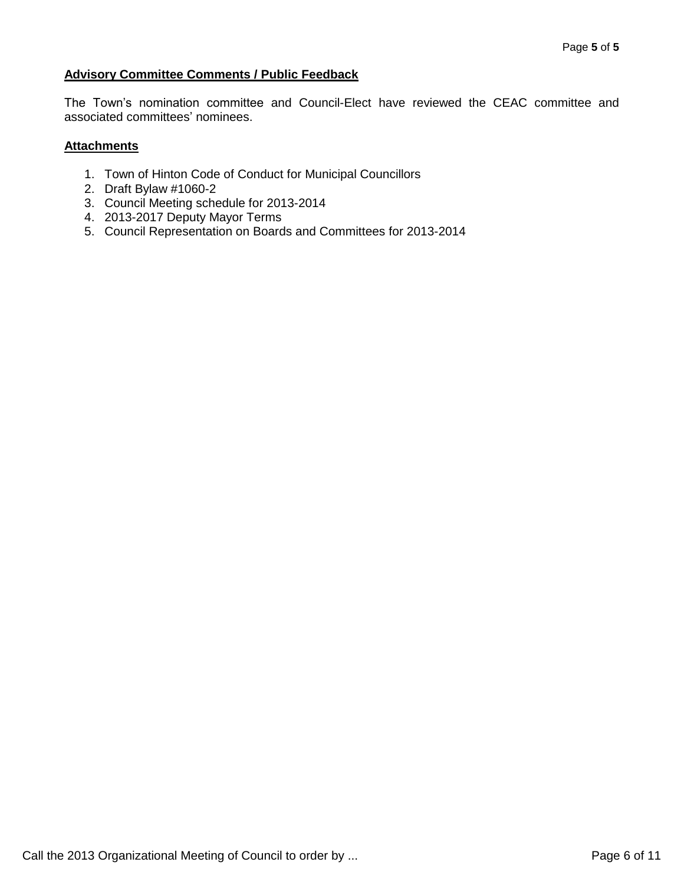### **Advisory Committee Comments / Public Feedback**

The Town's nomination committee and Council-Elect have reviewed the CEAC committee and associated committees' nominees.

#### **Attachments**

- 1. Town of Hinton Code of Conduct for Municipal Councillors
- 2. Draft Bylaw #1060-2
- 3. Council Meeting schedule for 2013-2014
- 4. 2013-2017 Deputy Mayor Terms
- 5. Council Representation on Boards and Committees for 2013-2014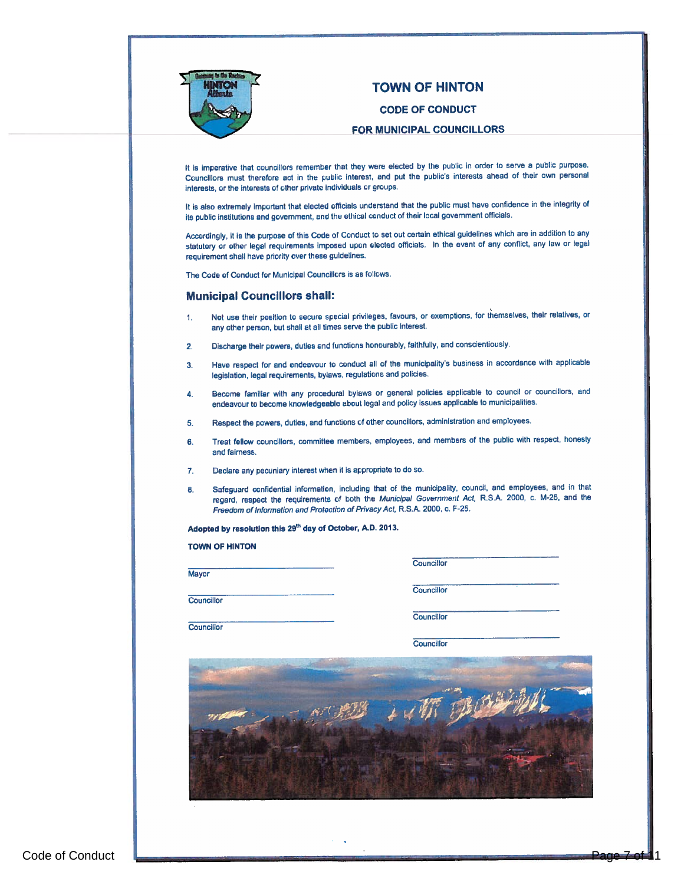

# TOWN OF HINTON

#### CODE OF CONDUCT

#### FOR MUNICIPAL COUNCILLORS

It is imperative that councillors remember that they were elected by the public in order to serve a public purpose. Councillors must therefore act in the public interest, and pu<sup>t</sup> the public's interests ahead of their own persona<sup>l</sup> interests, or the interests of other private Individuals or groups.

It Is also extremely important that elected officials understand that the public must have confidence in the integrity of its public institutions and government, and the ethical conduct of their local governmen<sup>t</sup> officials.

Accordingly, it is the purpose of this Code of Conduct to set out certain ethical guidelines which are in addition to any statutory or other legal requirements imposed upon elected officials. In the event of any conflict, any law or legal requirement shall have priority over these guidelines.

The Code of Conduct for Municipal Councillors is as follows.

#### Municipal Councillors shall:

- 1. Not use their position to secure special privileges, favours, or exemptions, for themselves, their relatives, or any other person, but shall at all times serve the public interest.
- 2. Discharge their powers, duties and functions honourably, faithfully, and conscientiously,
- 3. Have respec<sup>t</sup> for and endeavour to conduct all of the municipality's business in accordance with applicable legislation, legal requirements, bylaws, regulations and policies.
- 4. Become familiar with any procedural bylaws or genera<sup>l</sup> policies applicable to council or councillors, and endeavour to become knowledgeable about legal and policy issues applicable to municipalities.
- 5. Respect the powers, duties, and functions of other councillors, administration and employees.
- 6. Treat fellow councillors, committee members, employees, and members of the public with respect, honesty and fairness.
- 7. Declare any pecuniary interest when it is appropriate to do so.
- 8. Safeguard confidential information, including that of the municipality, council, and employees, and in that regard, respec<sup>t</sup> the requirements of both the Municipal Government Act, R.S.A. 2000, c. M-26, and the Freedom of Information and Protection of Privacy Act, R.S.A. 2000, c. F-25.

 $\Delta t$  resolution the  $\Delta t$  definition this 2942.

|                   | Councillor        |
|-------------------|-------------------|
| Mayor             | <b>Councillor</b> |
| Councillor        | Councillor        |
| <b>Councillor</b> | Councillor        |
|                   |                   |
|                   |                   |
|                   |                   |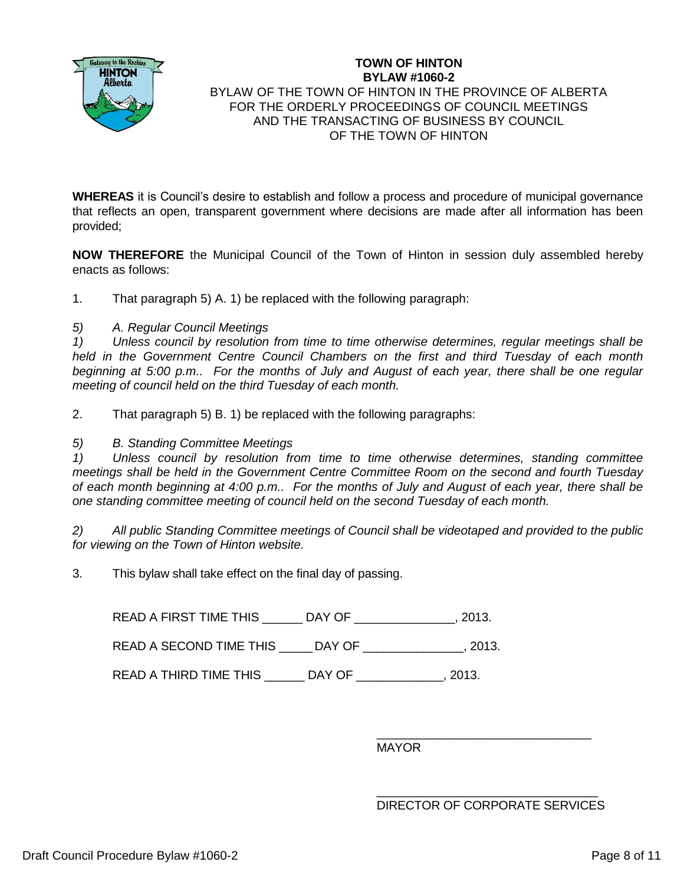

### **TOWN OF HINTON BYLAW #1060-2** BYLAW OF THE TOWN OF HINTON IN THE PROVINCE OF ALBERTA FOR THE ORDERLY PROCEEDINGS OF COUNCIL MEETINGS AND THE TRANSACTING OF BUSINESS BY COUNCIL OF THE TOWN OF HINTON

**WHEREAS** it is Council's desire to establish and follow a process and procedure of municipal governance that reflects an open, transparent government where decisions are made after all information has been provided;

**NOW THEREFORE** the Municipal Council of the Town of Hinton in session duly assembled hereby enacts as follows:

1. That paragraph 5) A. 1) be replaced with the following paragraph:

*5) A. Regular Council Meetings*

*1) Unless council by resolution from time to time otherwise determines, regular meetings shall be held in the Government Centre Council Chambers on the first and third Tuesday of each month beginning at 5:00 p.m.. For the months of July and August of each year, there shall be one regular meeting of council held on the third Tuesday of each month.*

2. That paragraph 5) B. 1) be replaced with the following paragraphs:

### *5) B. Standing Committee Meetings*

*1) Unless council by resolution from time to time otherwise determines, standing committee meetings shall be held in the Government Centre Committee Room on the second and fourth Tuesday of each month beginning at 4:00 p.m.. For the months of July and August of each year, there shall be one standing committee meeting of council held on the second Tuesday of each month.*

*2) All public Standing Committee meetings of Council shall be videotaped and provided to the public for viewing on the Town of Hinton website.*

3. This bylaw shall take effect on the final day of passing.

READ A FIRST TIME THIS \_\_\_\_\_\_ DAY OF \_\_\_\_\_\_\_\_\_\_\_\_\_\_\_, 2013.

READ A SECOND TIME THIS LEAY OF THIS A SECOND TIME THIS

READ A THIRD TIME THIS \_\_\_\_\_\_ DAY OF \_\_\_\_\_\_\_\_\_\_\_\_\_, 2013.

\_\_\_\_\_\_\_\_\_\_\_\_\_\_\_\_\_\_\_\_\_\_\_\_\_\_\_\_\_\_\_\_ MAYOR

\_\_\_\_\_\_\_\_\_\_\_\_\_\_\_\_\_\_\_\_\_\_\_\_\_\_\_\_\_\_\_\_\_ DIRECTOR OF CORPORATE SERVICES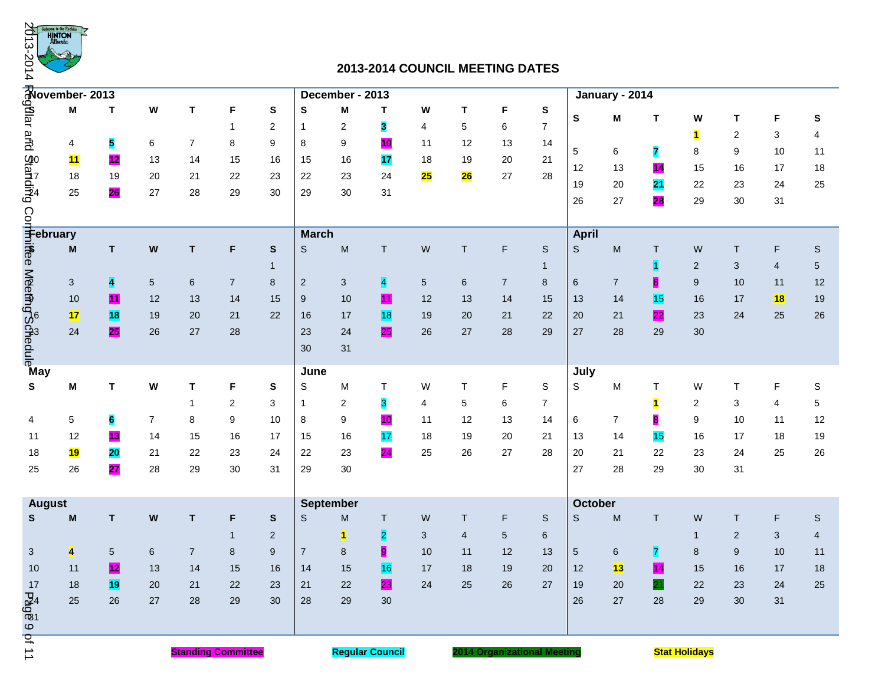

# **2013-2014 COUNCIL MEETING DATES**

| 2013-<br>144                                                                                                                                                                | say te tke Roci<br><b>HINTON</b><br>Alberta                                      |                         |                 |                |                                                       |                |                |                 |                 |           |              | 2013-2014 COUNCIL MEETING DATES |                |                       |                |                         |                         |                |                |             |
|-----------------------------------------------------------------------------------------------------------------------------------------------------------------------------|----------------------------------------------------------------------------------|-------------------------|-----------------|----------------|-------------------------------------------------------|----------------|----------------|-----------------|-----------------|-----------|--------------|---------------------------------|----------------|-----------------------|----------------|-------------------------|-------------------------|----------------|----------------|-------------|
|                                                                                                                                                                             | $\frac{1}{\frac{3}{2}}$ Movember- 2013<br>$\frac{3}{2}$ M T<br>$\frac{3}{2}$ 4 5 |                         |                 |                |                                                       |                |                | December - 2013 |                 |           |              |                                 |                |                       | January - 2014 |                         |                         |                |                |             |
|                                                                                                                                                                             |                                                                                  |                         | W               | T              | F                                                     | S              | S              | M               | Т               | W         | T            | F                               | ${\bf S}$      |                       |                |                         | W                       | Т              | F              |             |
|                                                                                                                                                                             |                                                                                  |                         |                 |                | 1                                                     | 2              | 1              | 2               | 3               | 4         | 5            | 6                               | $\overline{7}$ | S                     | M              | т                       |                         |                |                | S           |
|                                                                                                                                                                             |                                                                                  |                         | 6               | 7              | 8                                                     | 9              | 8              | 9               | 10              | 11        | 12           | 13                              | 14             |                       |                |                         | $\blacksquare$          | $\overline{2}$ | 3<br>10        | 4           |
|                                                                                                                                                                             | 11                                                                               | 12                      | 13              | 14             | 15                                                    | 16             | 15             | 16              | 17              | 18        | 19           | 20                              | 21             | $5\phantom{.0}$<br>12 | 6<br>13        | 7<br>14                 | 8<br>15                 | 9<br>16        | 17             | 11<br>18    |
|                                                                                                                                                                             | 18                                                                               | 19                      | 20              | 21             | 22                                                    | 23             | 22             | 23              | 24              | 25        | 26           | 27                              | 28             | 19                    |                |                         |                         |                |                |             |
|                                                                                                                                                                             | 25                                                                               | 26                      | 27              | 28             | 29                                                    | 30             | 29             | 30              | 31              |           |              |                                 |                | 26                    | 20             | 21<br>28                | 22                      | 23             | 24             | 25          |
|                                                                                                                                                                             |                                                                                  |                         |                 |                |                                                       |                |                |                 |                 |           |              |                                 |                |                       | 27             |                         | 29                      | 30             | 31             |             |
| <b>Primary</b><br>The Second Prediction<br>The Second Prediction<br>The Second Prediction<br>The Second Prediction<br>The Second Prediction<br>The Second Prediction<br>May |                                                                                  |                         |                 |                |                                                       |                | <b>March</b>   |                 |                 |           |              |                                 |                | <b>April</b>          |                |                         |                         |                |                |             |
|                                                                                                                                                                             |                                                                                  | T                       | W               | T              | F                                                     | ${\sf s}$      | S              | ${\sf M}$       | $\top$          | W         | T            | F                               | $\mathbb S$    | $\mathsf S$           | M              | T                       | W                       | T              | F              | $\mathbb S$ |
|                                                                                                                                                                             |                                                                                  |                         |                 |                |                                                       | $\mathbf{1}$   |                |                 |                 |           |              |                                 | 1              |                       |                | $\vert$ 1               | $\overline{2}$          | 3              | $\overline{4}$ | 5           |
|                                                                                                                                                                             |                                                                                  | $\overline{\mathbf{4}}$ | $5\phantom{.0}$ | 6              | $\overline{7}$                                        | 8              | $\overline{2}$ | 3               | $\overline{4}$  | 5         | 6            | $\overline{7}$                  | 8              | 6                     | $\overline{7}$ | $\overline{\mathbf{8}}$ | 9                       | 10             | 11             | 12          |
|                                                                                                                                                                             | 10                                                                               | 11                      | 12              | 13             | 14                                                    | 15             | 9              | 10              | 11              | 12        | 13           | 14                              | 15             | 13                    | 14             | <b>15</b>               | 16                      | 17             | 18             | 19          |
|                                                                                                                                                                             | 17                                                                               | 18                      | 19              | 20             | 21                                                    | 22             | 16             | 17              | <b>18</b>       | 19        | 20           | 21                              | 22             | 20                    | 21             | 22                      | 23                      | 24             | 25             | 26          |
|                                                                                                                                                                             | 24                                                                               | <b>25</b>               | 26              | 27             | 28                                                    |                | 23             | 24              | 25              | 26        | 27           | 28                              | 29             | 27                    | 28             | 29                      | 30                      |                |                |             |
|                                                                                                                                                                             |                                                                                  |                         |                 |                |                                                       |                | 30             | 31              |                 |           |              |                                 |                |                       |                |                         |                         |                |                |             |
|                                                                                                                                                                             |                                                                                  |                         |                 |                |                                                       |                |                |                 |                 |           |              |                                 |                |                       |                |                         |                         |                |                |             |
| S                                                                                                                                                                           | M                                                                                | Τ                       | W               | Т              | F                                                     | S              | June<br>S      | м               | Т               | W         | $\mathsf{T}$ | F                               | S              | July<br>S             | M              | Τ                       | W                       | T              | F              | S           |
|                                                                                                                                                                             |                                                                                  |                         |                 | $\mathbf{1}$   | 2                                                     | 3              | $\mathbf{1}$   | 2               | 3               | 4         | 5            | 6                               | 7              |                       |                | 1                       | $\overline{\mathbf{c}}$ | 3              | 4              | 5           |
| 4                                                                                                                                                                           | 5                                                                                | 6                       | $\overline{7}$  | 8              | 9                                                     | 10             | 8              | 9               | 10              | 11        | 12           | 13                              | 14             | 6                     | $\overline{7}$ | 8                       | 9                       | 10             | 11             | 12          |
| 11                                                                                                                                                                          | 12                                                                               | <u>13</u>               | 14              | 15             | 16                                                    | 17             | 15             | 16              | 17              | 18        | 19           | 20                              | 21             | 13                    | 14             | 15                      | 16                      | 17             | 18             | 19          |
| 18                                                                                                                                                                          | <b>19</b>                                                                        | 20                      | 21              | 22             | 23                                                    | 24             | 22             | 23              | $\overline{24}$ | 25        | 26           | 27                              | 28             | 20                    | 21             | 22                      | 23                      | 24             | 25             | 26          |
| 25                                                                                                                                                                          | 26                                                                               | 27                      | 28              | 29             | 30                                                    | 31             | 29             | 30              |                 |           |              |                                 |                | 27                    | 28             | 29                      | 30                      | 31             |                |             |
|                                                                                                                                                                             |                                                                                  |                         |                 |                |                                                       |                |                |                 |                 |           |              |                                 |                |                       |                |                         |                         |                |                |             |
| <b>August</b>                                                                                                                                                               |                                                                                  |                         |                 |                | <b>September</b>                                      |                |                |                 |                 | October   |              |                                 |                |                       |                |                         |                         |                |                |             |
| S                                                                                                                                                                           | M                                                                                | T                       | W               | T              | F                                                     | S              | S              | M               | T               | ${\sf W}$ | $\mathsf{T}$ | F                               | S              | S                     | M              | T.                      | W                       | T              | F              | $\mathbb S$ |
|                                                                                                                                                                             |                                                                                  |                         |                 |                | $\mathbf{1}$                                          | $\overline{c}$ |                | $\mathbf{1}$    | $\overline{2}$  | 3         | 4            | $5\phantom{.0}$                 | 6              |                       |                |                         | $\overline{1}$          | 2              | 3              | 4           |
| 3 <sup>2</sup>                                                                                                                                                              | $\overline{\mathbf{4}}$                                                          | $5\phantom{.0}$         | $6\phantom{1}$  | $\overline{7}$ | 8                                                     | 9              | $\overline{7}$ | 8               | 9               | 10        | 11           | 12                              | 13             | $5\phantom{.0}$       | 6              | $\overline{7}$          | $8\phantom{1}$          | 9              | 10             | 11          |
| 10                                                                                                                                                                          | 11                                                                               | $\mathbf{12}$           | 13              | 14             | 15                                                    | 16             | 14             | 15              | <b>16</b>       | 17        | 18           | 19                              | 20             | 12                    | 13             | $\overline{14}$         | 15                      | 16             | 17             | 18          |
| 17                                                                                                                                                                          | 18                                                                               | 19                      | 20              | 21             | 22                                                    | 23             | 21             | 22              | 23              | 24        | 25           | 26                              | 27             | 19                    | 20             | 21                      | 22                      | 23             | 24             | 25          |
|                                                                                                                                                                             | 25                                                                               | 26                      | 27              | 28             | 29                                                    | 30             | 28             | 29              | 30              |           |              |                                 |                | 26                    | 27             | 28                      | 29                      | 30             | 31             |             |
| 6.804                                                                                                                                                                       |                                                                                  |                         |                 |                |                                                       |                |                |                 |                 |           |              |                                 |                |                       |                |                         |                         |                |                |             |
|                                                                                                                                                                             |                                                                                  |                         |                 |                |                                                       |                |                |                 |                 |           |              |                                 |                |                       |                |                         |                         |                |                |             |
| <b>bf 11</b><br><b>Standing Committee</b>                                                                                                                                   |                                                                                  |                         |                 |                | <b>Regular Council</b><br>2014 Organizational Meeting |                |                |                 |                 |           |              |                                 |                | <b>Stat Holidays</b>  |                |                         |                         |                |                |             |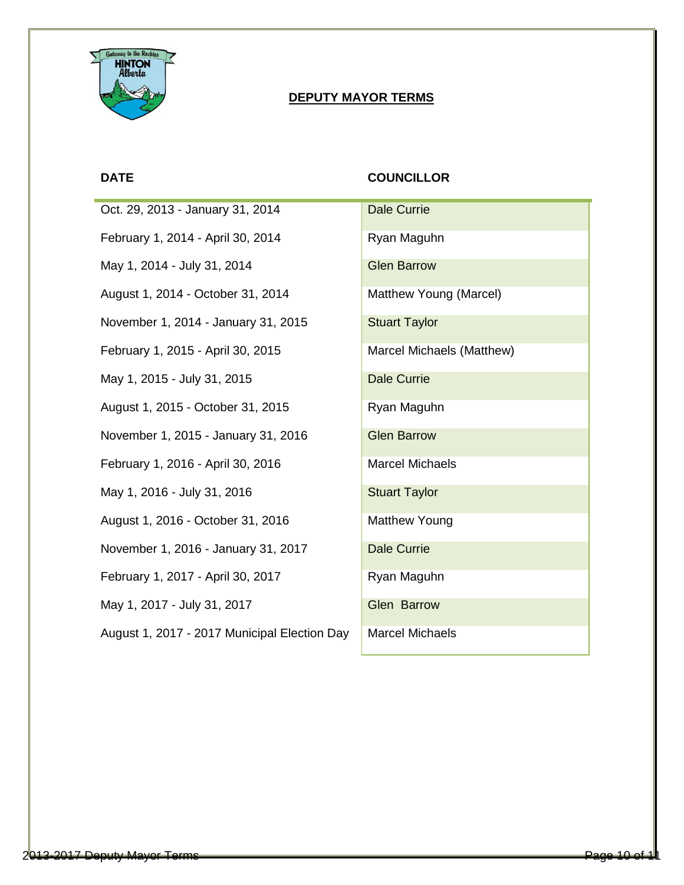

# **DEPUTY MAYOR TERMS**

Oct. 29, 2013 - January 31, 2014 February 1, 2014 - April 30, 2014 May 1, 2014 - July 31, 2014 August 1, 2014 - October 31, 2014 November 1, 2014 - January 31, 2015 February 1, 2015 - April 30, 2015 May 1, 2015 - July 31, 2015 August 1, 2015 - October 31, 2015 November 1, 2015 - January 31, 2016 February 1, 2016 - April 30, 2016 May 1, 2016 - July 31, 2016 August 1, 2016 - October 31, 2016 November 1, 2016 - January 31, 2017 February 1, 2017 - April 30, 2017 May 1, 2017 - July 31, 2017 August 1, 2017 - 2017 Municipal Election Day

# **DATE COUNCILLOR**

| Dale Currie               |
|---------------------------|
| Ryan Maguhn               |
| <b>Glen Barrow</b>        |
| Matthew Young (Marcel)    |
| <b>Stuart Taylor</b>      |
| Marcel Michaels (Matthew) |
| Dale Currie               |
| Ryan Maguhn               |
| <b>Glen Barrow</b>        |
| Marcel Michaels           |
| <b>Stuart Taylor</b>      |
| Matthew Young             |
| Dale Currie               |
| Ryan Maguhn               |
| Glen Barrow               |
| Marcel Michaels           |